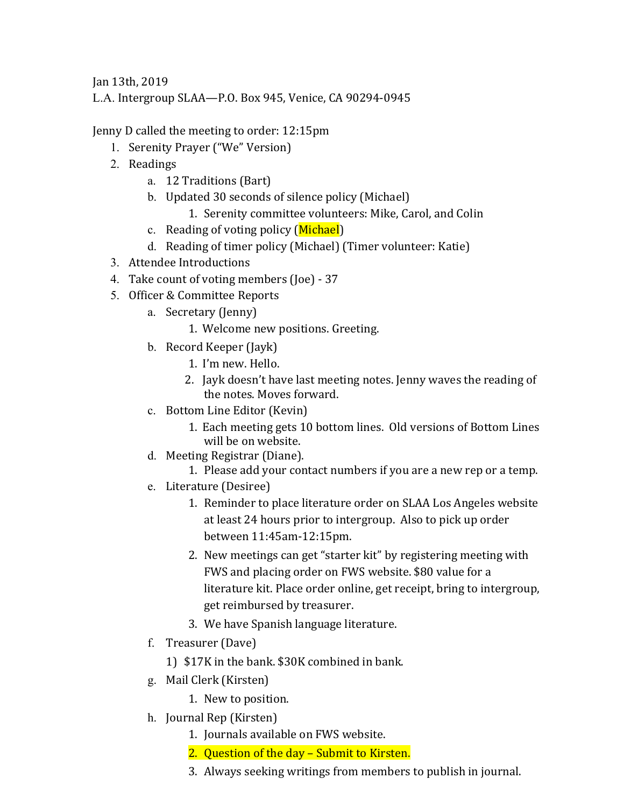Jan 13th, 2019

L.A. Intergroup SLAA—P.O. Box 945, Venice, CA 90294-0945

Jenny D called the meeting to order: 12:15pm

- 1. Serenity Prayer ("We" Version)
- 2. Readings
	- a. 12 Traditions (Bart)
	- b. Updated 30 seconds of silence policy (Michael)
		- 1. Serenity committee volunteers: Mike, Carol, and Colin
	- c. Reading of voting policy (Michael)
	- d. Reading of timer policy (Michael) (Timer volunteer: Katie)
- 3. Attendee Introductions
- 4. Take count of voting members (Joe) 37
- 5. Officer & Committee Reports
	- a. Secretary (Jenny)
		- 1. Welcome new positions. Greeting.
	- b. Record Keeper (Jayk)
		- 1. I'm new. Hello.
		- 2. Jayk doesn't have last meeting notes. Jenny waves the reading of the notes. Moves forward.
	- c. Bottom Line Editor (Kevin)
		- 1. Each meeting gets 10 bottom lines. Old versions of Bottom Lines will be on website.
	- d. Meeting Registrar (Diane).
		- 1. Please add your contact numbers if you are a new rep or a temp.
	- e. Literature (Desiree)
		- 1. Reminder to place literature order on SLAA Los Angeles website at least 24 hours prior to intergroup. Also to pick up order between 11:45am-12:15pm.
		- 2. New meetings can get "starter kit" by registering meeting with FWS and placing order on FWS website. \$80 value for a literature kit. Place order online, get receipt, bring to intergroup, get reimbursed by treasurer.
		- 3. We have Spanish language literature.
	- f. Treasurer (Dave)
		- 1) \$17K in the bank. \$30K combined in bank.
	- g. Mail Clerk (Kirsten)
		- 1. New to position.
	- h. Journal Rep (Kirsten)
		- 1. Journals available on FWS website.
		- 2. Question of the day Submit to Kirsten.
		- 3. Always seeking writings from members to publish in journal.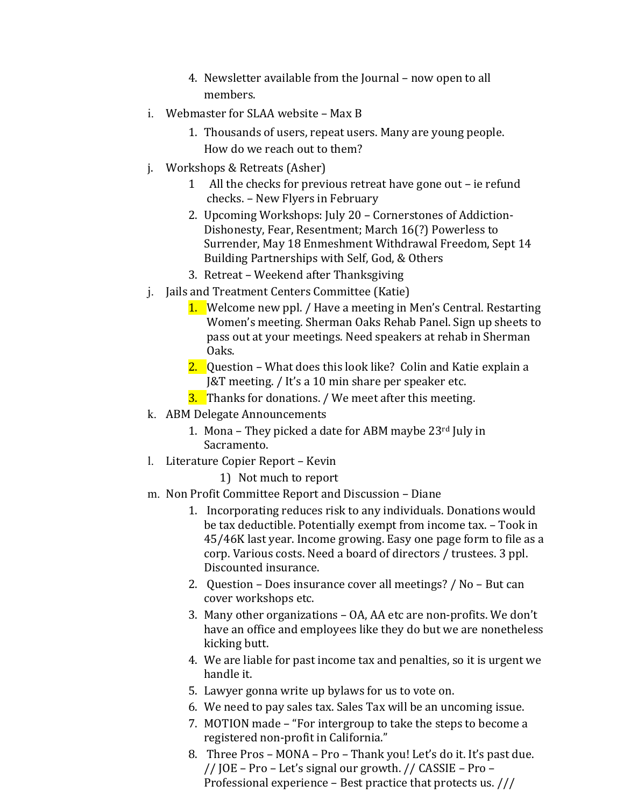- 4. Newsletter available from the Journal now open to all members.
- $i.$  Webmaster for SLAA website  $-$  Max B
	- 1. Thousands of users, repeat users. Many are young people. How do we reach out to them?
- j. Workshops & Retreats (Asher)
	- 1 All the checks for previous retreat have gone out ie refund checks. - New Flyers in February
	- 2. Upcoming Workshops: July 20 Cornerstones of Addiction-Dishonesty, Fear, Resentment; March 16(?) Powerless to Surrender, May 18 Enmeshment Withdrawal Freedom, Sept 14 Building Partnerships with Self, God, & Others
	- 3. Retreat Weekend after Thanksgiving
- j. Jails and Treatment Centers Committee (Katie)
	- 1. Welcome new ppl. / Have a meeting in Men's Central. Restarting Women's meeting. Sherman Oaks Rehab Panel. Sign up sheets to pass out at your meetings. Need speakers at rehab in Sherman Oaks.
	- 2. Question What does this look like? Colin and Katie explain a J&T meeting. / It's a 10 min share per speaker etc.
	- **3.** Thanks for donations. / We meet after this meeting.
- k. ABM Delegate Announcements
	- 1. Mona They picked a date for ABM maybe  $23^{\text{rd}}$  July in Sacramento.
- l. Literature Copier Report Kevin
	- 1) Not much to report
- m. Non Profit Committee Report and Discussion Diane
	- 1. Incorporating reduces risk to any individuals. Donations would be tax deductible. Potentially exempt from income tax. - Took in 45/46K last year. Income growing. Easy one page form to file as a corp. Various costs. Need a board of directors / trustees. 3 ppl. Discounted insurance.
	- 2. Question Does insurance cover all meetings?  $/$  No But can cover workshops etc.
	- 3. Many other organizations OA, AA etc are non-profits. We don't have an office and employees like they do but we are nonetheless kicking butt.
	- 4. We are liable for past income tax and penalties, so it is urgent we handle it.
	- 5. Lawyer gonna write up bylaws for us to vote on.
	- 6. We need to pay sales tax. Sales Tax will be an uncoming issue.
	- 7. MOTION made "For intergroup to take the steps to become a registered non-profit in California."
	- 8. Three Pros MONA Pro Thank you! Let's do it. It's past due. // JOE – Pro – Let's signal our growth. // CASSIE – Pro – Professional experience  $-$  Best practice that protects us.  $//$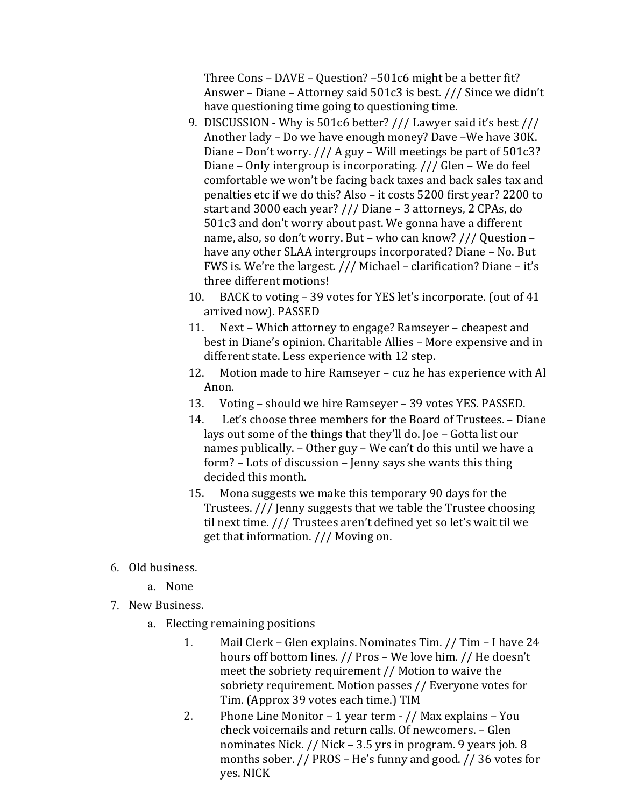Three Cons – DAVE – Question? –501c6 might be a better fit? Answer – Diane – Attorney said  $501c3$  is best.  $//$  Since we didn't have questioning time going to questioning time.

- 9. DISCUSSION Why is  $501c6$  better?  $//$  Lawyer said it's best  $//$ Another lady - Do we have enough money? Dave -We have 30K. Diane – Don't worry.  $//A$  guy – Will meetings be part of  $501c3$ ? Diane – Only intergroup is incorporating.  $//$  Glen – We do feel comfortable we won't be facing back taxes and back sales tax and penalties etc if we do this? Also - it costs 5200 first year? 2200 to start and  $3000$  each year?  $\frac{1}{1}$  Diane - 3 attorneys, 2 CPAs, do 501c3 and don't worry about past. We gonna have a different name, also, so don't worry. But - who can know? /// Question have any other SLAA intergroups incorporated? Diane - No. But FWS is. We're the largest.  $//$  Michael – clarification? Diane – it's three different motions!
- 10. BACK to voting 39 votes for YES let's incorporate. (out of 41 arrived now). PASSED
- 11. Next Which attorney to engage? Ramseyer cheapest and best in Diane's opinion. Charitable Allies - More expensive and in different state. Less experience with 12 step.
- 12. Motion made to hire Ramseyer cuz he has experience with Al Anon.
- 13. Voting should we hire Ramseyer 39 votes YES. PASSED.
- 14. Let's choose three members for the Board of Trustees. Diane lays out some of the things that they'll do. Joe - Gotta list our names publically. - Other guy - We can't do this until we have a form? - Lots of discussion - Jenny says she wants this thing decided this month.
- 15. Mona suggests we make this temporary 90 days for the Trustees. /// Jenny suggests that we table the Trustee choosing til next time.  $//$  Trustees aren't defined yet so let's wait til we get that information.  $//$  Moving on.
- 6. Old business.
	- a. None
- 7. New Business.
	- a. Electing remaining positions
		- 1. Mail Clerk Glen explains. Nominates Tim. // Tim I have 24 hours off bottom lines. // Pros - We love him. // He doesn't meet the sobriety requirement  $//$  Motion to waive the sobriety requirement. Motion passes // Everyone votes for Tim. (Approx 39 votes each time.) TIM
		- 2. Phone Line Monitor 1 year term  $\frac{1}{1}$  Max explains You check voicemails and return calls. Of newcomers. - Glen nominates Nick.  $//$  Nick  $-$  3.5 yrs in program. 9 years job. 8 months sober.  $//$  PROS – He's funny and good.  $//$  36 votes for yes. NICK